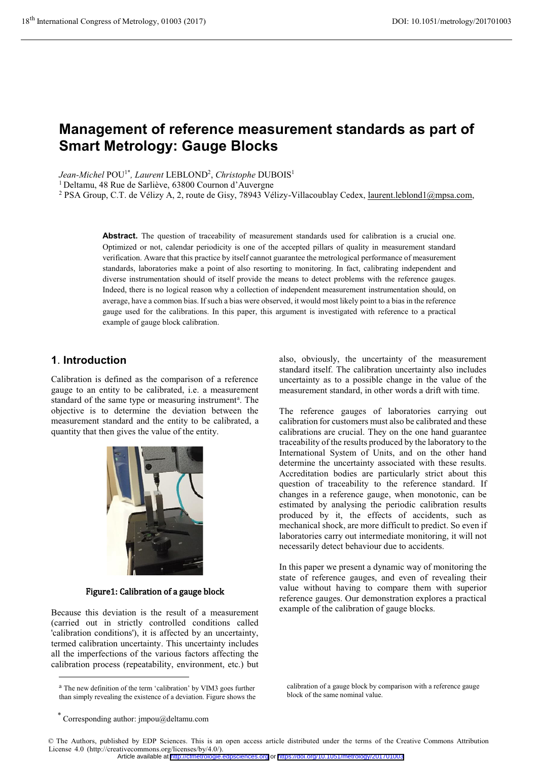# **Management of reference measurement standards as part of Smart Metrology: Gauge Blocks**

*Jean-Michel* POU1\**, Laurent* LEBLOND2 , *Christophe* DUBOIS1

1 Deltamu, 48 Rue de Sarliève, 63800 Cournon d'Auvergne

<sup>2</sup> PSA Group, C.T. de Vélizy A, 2, route de Gisy, 78943 Vélizy-Villacoublay Cedex, laurent.leblond1@mpsa.com,

Abstract. The question of traceability of measurement standards used for calibration is a crucial one. Optimized or not, calendar periodicity is one of the accepted pillars of quality in measurement standard verification. Aware that this practice by itself cannot guarantee the metrological performance of measurement standards, laboratories make a point of also resorting to monitoring. In fact, calibrating independent and diverse instrumentation should of itself provide the means to detect problems with the reference gauges. Indeed, there is no logical reason why a collection of independent measurement instrumentation should, on average, have a common bias. If such a bias were observed, it would most likely point to a bias in the reference gauge used for the calibrations. In this paper, this argument is investigated with reference to a practical example of gauge block calibration.

#### **<sup>1</sup>**. **Introduction**

**Calibration is defined as the comparison of a reference gauge to an entity to be calibrated, i.e. a measurement standard of the same type or measuring instrumenta . The objective is to determine the deviation between the measurement standard and the entity to be calibrated, a quantity that then gives the value of the entity.** 



Figure1: Calibration of a gauge block

**Because this deviation is the result of a measurement (carried out in strictly controlled conditions called 'calibration conditions'), it is affected by an uncertainty, termed calibration uncertainty. This uncertainty includes all the imperfections of the various factors affecting the calibration process (repeatability, environment, etc.) but**

**also, obviously, the uncertainty of the measurement standard itself. The calibration uncertainty also includes uncertainty as to a possible change in the value of the measurement standard, in other words a drift with time.**

**The reference gauges of laboratories carrying out calibration for customers must also be calibrated and these calibrations are crucial. They on the one hand guarantee traceability of the results produced by the laboratory to the International System of Units, and on the other hand determine the uncertainty associated with these results. Accreditation bodies are particularly strict about this question of traceability to the reference standard. If changes in a reference gauge, when monotonic, can be estimated by analysing the periodic calibration results produced by it, the effects of accidents, such as mechanical shock, are more difficult to predict. So even if laboratories carry out intermediate monitoring, it will not necessarily detect behaviour due to accidents.** 

**In this paper we present a dynamic way of monitoring the state of reference gauges, and even of revealing their value without having to compare them with superior reference gauges. Our demonstration explores a practical example of the calibration of gauge blocks.**

calibration of a gauge block by comparison with a reference gauge block of the same nominal value.

<u>.</u>

© The Authors, published by EDP Sciences. This is an open access article distributed under the terms of the Creative Commons Attribution License 4.0 (http://creativecommons.org/licenses/by/4.0/).

Article available at <http://cfmetrologie.edpsciences.org> or <https://doi.org/10.1051/metrology/201701003>

<sup>a</sup> The new definition of the term 'calibration' by VIM3 goes further than simply revealing the existence of a deviation. Figure shows the

<sup>\*</sup> Corresponding author: jmpou@deltamu.com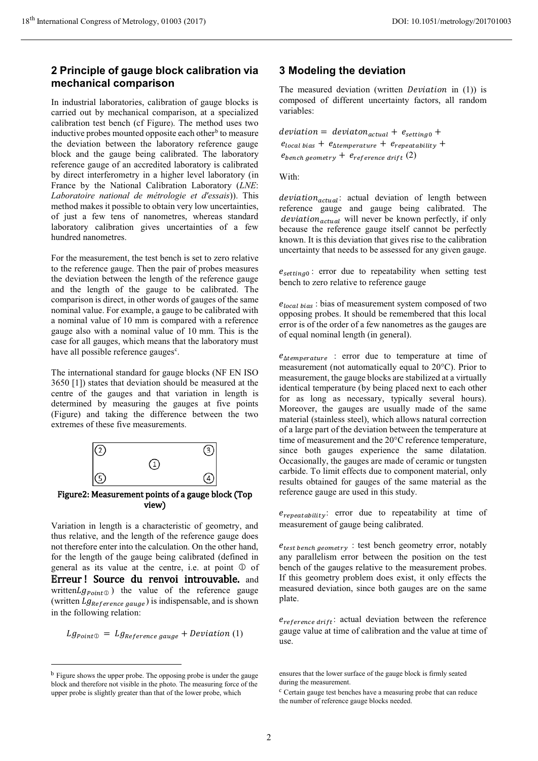# **2 Principle of gauge block calibration via mechanical comparison**

**In industrial laboratories, calibration of gauge blocks is carried out by mechanical comparison, at a specialized calibration test bench (cf** Figure)**. The method uses two inductive** probes mounted opposite each otherb to measure **the deviation between the laboratory reference gauge block and the gauge being calibrated. The laboratory reference gauge of an accredited laboratory is calibrated by direct interferometry in a higher level laboratory (in France by the National Calibration Laboratory (**LNE**:** Laboratoire national de métrologie et d'essais**)). This method makes it possible to obtain very low uncertainties, of just a few tens of nanometres, whereas standard laboratory calibration gives uncertainties of a few hundred nanometres.**

**For the measurement, the test bench is set to zero relative to the reference gauge. Then the pair of probes measures the deviation between the length of the reference gauge and the length of the gauge to be calibrated. The comparison is direct, in other words of gauges of the same nominal value. For example, a gauge to be calibrated with a nominal value of 10 mm is compared with a reference gauge also with a nominal value of 10 mm. This is the case for all gauges, which means that the laboratory must** have all possible reference gauges<sup>c</sup>.

**The international standard for gauge blocks (NF EN ISO 3650 [1]) states that deviation should be measured at the centre of the gauges and that variation in length is determined by measuring the gauges at five points (Figure) and taking the difference between the two extremes of these five measurements.** 



Figure2: Measurement points of a gauge block (Top view)

**Variation in length is a characteristic of geometry, and thus relative, and the length of the reference gauge does not therefore enter into the calculation. On the other hand, for the length of the gauge being calibrated (defined in** general as its value at the centre, i.e. at point  $\Phi$  of Erreur ! Source du renvoi introuvable. **and** written $Lg_{Point\mathbb{O}}$  the value of the reference gauge  $(w$ ritten  $Lg$ <sub>Reference gauge</sub>) is indispensable, and is shown **in the following relation:**

 $Lg_{Point\mathbb{O}} = Lg_{Reference\ gauge} + Deviation(1)$ 

-

# **3 Modeling the deviation**

**The measured deviation (written in (1)) is composed of different uncertainty factors, all random variables:**

 $deviation = deviation_{actual} + e_{setting0} +$  $e_{local \, bias} + e_{\Delta temperature} + e_{repeatability} +$  $e_{\text{bench geometry}} + e_{\text{reference drift}}(2)$ 

**With:**

 **: actual deviation of length between reference gauge and gauge being calibrated. The** deviation<sub>actual</sub> will never be known perfectly, if only **because the reference gauge itself cannot be perfectly known. It is this deviation that gives rise to the calibration uncertainty that needs to be assessed for any given gauge.** 

 **: error due to repeatability when setting test bench to zero relative to reference gauge**

 $e_{local bias}$ ; bias of measurement system composed of two **opposing probes. It should be remembered that this local error is of the order of a few nanometres as the gauges are of equal nominal length (in general).**

 $e$ <sub>∆temperature</sub> : error due to temperature at time of **measurement (not automatically equal to 20°C). Prior to measurement, the gauge blocks are stabilized at a virtually identical temperature (by being placed next to each other for as long as necessary, typically several hours). Moreover, the gauges are usually made of the same material (stainless steel), which allows natural correction of a large part of the deviation between the temperature at time of measurement and the 20°C reference temperature, since both gauges experience the same dilatation. Occasionally, the gauges are made of ceramic or tungsten carbide. To limit effects due to component material, only results obtained for gauges of the same material as the reference gauge are used in this study.**

 $e_{repeatedability}$ : error due to repeatability at time of **measurement of gauge being calibrated.**

 $e$ <sub>test</sub> bench geometry: test bench geometry error, notably **any parallelism error between the position on the test bench of the gauges relative to the measurement probes. If this geometry problem does exist, it only effects the measured deviation, since both gauges are on the same plate.**

  % **: actual deviation between the reference gauge value at time of calibration and the value at time of use.**

<sup>&</sup>lt;sup>b</sup> Figure shows the upper probe. The opposing probe is under the gauge block and therefore not visible in the photo. The measuring force of the upper probe is slightly greater than that of the lower probe, which

ensures that the lower surface of the gauge block is firmly seated during the measurement.

<sup>c</sup> Certain gauge test benches have a measuring probe that can reduce the number of reference gauge blocks needed.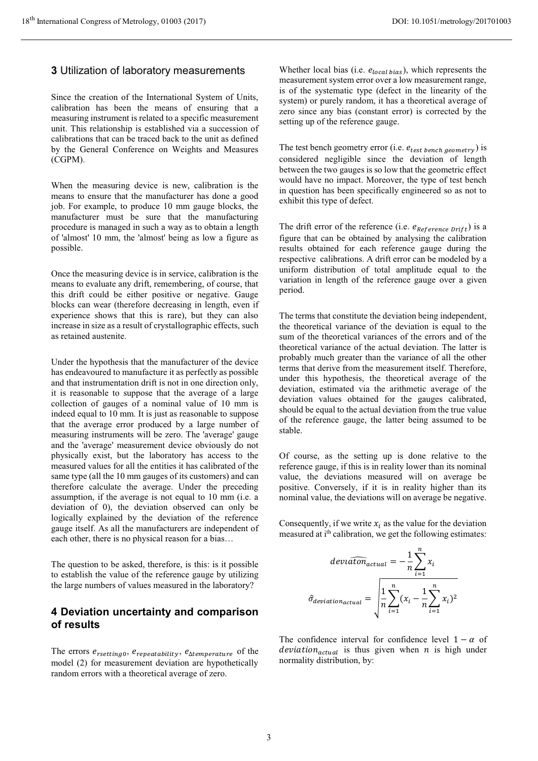#### **<sup>3</sup>** Utilization of laboratory measurements

**Since the creation of the International System of Units, calibration has been the means of ensuring that a measuring instrument is related to a specific measurement unit. This relationship is established via a succession of calibrations that can be traced back to the unit as defined by the General Conference on Weights and Measures (CGPM).**

**When the measuring device is new, calibration is the means to ensure that the manufacturer has done a good job. For example, to produce 10 mm gauge blocks, the manufacturer must be sure that the manufacturing procedure is managed in such a way as to obtain a length of 'almost' 10 mm, the 'almost' being as low a figure as possible.** 

**Once the measuring device is in service, calibration is the means to evaluate any drift, remembering, of course, that this drift could be either positive or negative. Gauge blocks can wear (therefore decreasing in length, even if experience shows that this is rare), but they can also increase in size as a result of crystallographic effects, such as retained austenite.**

**Under the hypothesis that the manufacturer of the device has endeavoured to manufacture it as perfectly as possible and that instrumentation drift is not in one direction only, it is reasonable to suppose that the average of a large collection of gauges of a nominal value of 10 mm is indeed equal to 10 mm. It is just as reasonable to suppose that the average error produced by a large number of measuring instruments will be zero. The 'average' gauge and the 'average' measurement device obviously do not physically exist, but the laboratory has access to the measured values for all the entities it has calibrated of the same type (all the 10 mm gauges of its customers) and can therefore calculate the average. Under the preceding assumption, if the average is not equal to 10 mm (i.e. a deviation of 0), the deviation observed can only be logically explained by the deviation of the reference gauge itself. As all the manufacturers are independent of each other, there is no physical reason for a bias…** 

**The question to be asked, therefore, is this: is it possible to establish the value of the reference gauge by utilizing the large numbers of values measured in the laboratory?** 

# **4 Deviation uncertainty and comparison of results**

The errors  $e_{rsetting0}$ ,  $e_{repeatability}$ ,  $e_{\Delta temperature}$  of the **model (2) for measurement deviation are hypothetically random errors with a theoretical average of zero.** 

Whether local bias (i.e.  $e_{local \, bias}$ ), which represents the **measurement system error over a low measurement range, is of the systematic type (defect in the linearity of the system) or purely random, it has a theoretical average of zero since any bias (constant error) is corrected by the setting up of the reference gauge.**

The test bench geometry error (i.e.  $e_{test\, benchmark}$  *bench geometry*) is **considered negligible since the deviation of length between the two gauges is so low that the geometric effect would have no impact. Moreover, the type of test bench in question has been specifically engineered so as not to exhibit this type of defect.**

The drift error of the reference (i.e.  $e_{Reference\,Drit}$ ) is a **figure that can be obtained by analysing the calibration results obtained for each reference gauge during the respective calibrations. A drift error can be modeled by a uniform distribution of total amplitude equal to the variation in length of the reference gauge over a given period.** 

**The terms that constitute the deviation being independent, the theoretical variance of the deviation is equal to the sum of the theoretical variances of the errors and of the theoretical variance of the actual deviation. The latter is probably much greater than the variance of all the other terms that derive from the measurement itself. Therefore, under this hypothesis, the theoretical average of the deviation, estimated via the arithmetic average of the deviation values obtained for the gauges calibrated, should be equal to the actual deviation from the true value of the reference gauge, the latter being assumed to be stable.** 

**Of course, as the setting up is done relative to the reference gauge, if this is in reality lower than its nominal value, the deviations measured will on average be positive. Conversely, if it is in reality higher than its nominal value, the deviations will on average be negative.**

Consequently, if we write  $x_i$  as the value for the deviation **measured at i th calibration, we get the following estimates:**

$$
devu \widehat{\text{dom}}_{actual} = -\frac{1}{n} \sum_{i=1}^{n} x_i
$$

$$
\widehat{\sigma}_{deviation_{actual}} = \sqrt{\frac{1}{n} \sum_{i=1}^{n} (x_i - \frac{1}{n} \sum_{i=1}^{n} x_i)^2}
$$

The confidence interval for confidence level  $1 - \alpha$  of *deviation*<sub>actual</sub> is thus given when  $n$  is high under **normality distribution, by:**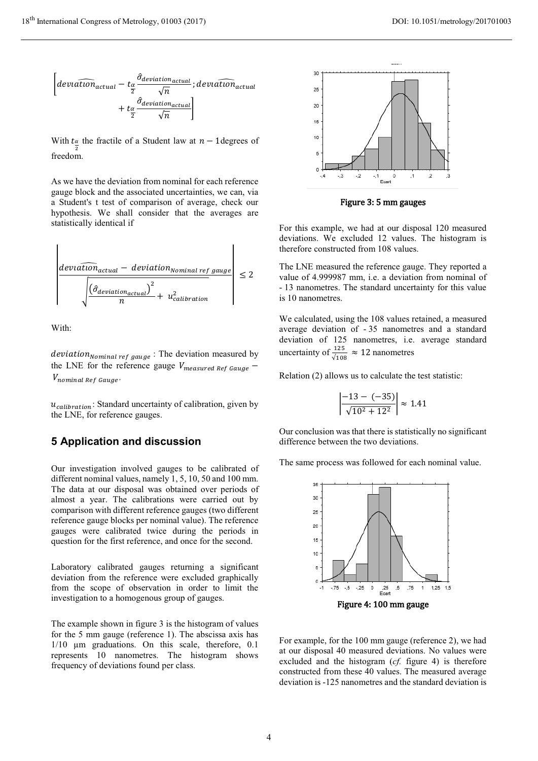$$
\left[deviation_{actual} - t_{\frac{\alpha}{2}} \frac{\hat{\sigma}_{deviation_{actual}}}{\sqrt{n}}; deviation_{actual}\n+ t_{\frac{\alpha}{2}} \frac{\hat{\sigma}_{deviation_{actual}}}{\sqrt{n}}\right]
$$

**With**  $t_{\frac{\alpha}{2}}$  the fractile of a Student law at  $n - 1$  degrees of **freedom.**

**As we have the deviation from nominal for each reference gauge block and the associated uncertainties, we can, via a Student's t test of comparison of average, check our hypothesis. We shall consider that the averages are statistically identical if**

$$
\frac{deviation_{actual} - deviation_{nominal\ ref\ gauge}}{\sqrt{\frac{(\hat{\sigma}_{deviation_{actual}})^2}{n} + u_{calibration}^2}}
$$
  $\leq$  2

 $\blacksquare$ 

**With:**

 $\mathbf{I}$ 

deviation<sub>Nominal ref gauge: The deviation measured by</sub> the LNE for the reference gauge  $V_{measured\,Ref\,Gauge}$  $V_{nominal Ref~Gauge}$ 

P
**: Standard uncertainty of calibration, given by the LNE, for reference gauges.**

#### **5 Application and discussion**

**Our investigation involved gauges to be calibrated of different nominal values, namely 1, 5, 10, 50 and 100 mm. The data at our disposal was obtained over periods of almost a year. The calibrations were carried out by comparison with different reference gauges (two different reference gauge blocks per nominal value). The reference gauges were calibrated twice during the periods in question for the first reference, and once for the second.** 

**Laboratory calibrated gauges returning a significant deviation from the reference were excluded graphically from the scope of observation in order to limit the investigation to a homogenous group of gauges.**

**The example shown in figure 3 is the histogram of values for the 5 mm gauge (reference 1). The abscissa axis has 1/10 μm graduations. On this scale, therefore, 0.1 represents 10 nanometres. The histogram shows frequency of deviations found per class.**



Figure 3: 5 mm gauges

**For this example, we had at our disposal 120 measured deviations. We excluded 12 values. The histogram is therefore constructed from 108 values.**

**The LNE measured the reference gauge. They reported a value of 4.999987 mm, i.e. a deviation from nominal of - 13 nanometres. The standard uncertainty for this value is 10 nanometres.**

**We calculated, using the 108 values retained, a measured average deviation of - 35 nanometres and a standard deviation of 125 nanometres, i.e. average standard** uncertainty of  $\frac{125}{\sqrt{108}} \approx 12$  nanometres

**Relation (2) allows us to calculate the test statistic:**

$$
\left| \frac{-13 - (-35)}{\sqrt{10^2 + 12^2}} \right| \approx 1.41
$$

**Our conclusion was that there is statistically no significant difference between the two deviations.** 

**The same process was followed for each nominal value.**



**For example, for the 100 mm gauge (reference 2), we had at our disposal 40 measured deviations. No values were excluded and the histogram (**cf. **figure 4) is therefore constructed from these 40 values. The measured average deviation is -125 nanometres and the standard deviation is**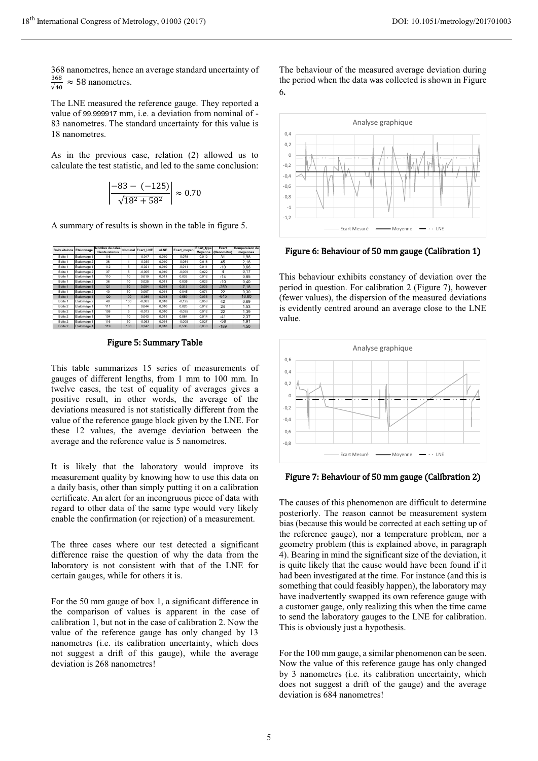**368 nanometres, hence an average standard uncertainty of**  $\frac{368}{\sqrt{40}}$ √` ≈ 58 **nanometres.**

**The LNE measured the reference gauge. They reported a value of** 99.999917 **mm, i.e. <sup>a</sup> deviation from nominal of - 83 nanometres. The standard uncertainty for this value is 18 nanometres.**

**As in the previous case, relation (2) allowed us to calculate the test statistic, and led to the same conclusion:**

$$
\left|\frac{-83 - (-125)}{\sqrt{18^2 + 58^2}}\right| \approx 0.70
$$

**A summary of results is shown in the table in figure 5.**

| Boite étalons | Etalonnage   | Nombre de cales<br>clients retenus |     | Nominal Ecart LNE | <b>uLNE</b> | Ecart_moyen | Ecart type<br>Moyenne | Ecart<br>(Nanomètre) | Comparaison de<br>moyennes |
|---------------|--------------|------------------------------------|-----|-------------------|-------------|-------------|-----------------------|----------------------|----------------------------|
| Boite 1       | Etalonnage 1 | 116                                |     | $-0.047$          | 0.010       | $-0.078$    | 0.012                 | 31                   | 1.98                       |
| Boite 1       | Etalonnage 2 | 36                                 | 1   | $-0.039$          | 0.010       | $-0.084$    | 0.018                 | 45                   | 2.18                       |
| Boite 1       | Etalonnage 1 | 112                                | 5   | $-0.021$          | 0.010       | $-0.011$    | 0.011                 | $-10$                | 0.66                       |
| Boite 1       | Etalonnage 2 | 37                                 | 5   | $-0.005$          | 0.010       | $-0.009$    | 0.022                 | 4                    | 0.17                       |
| Boite 1       | Etalonnage 1 | 110                                | 10  | 0.019             | 0.011       | 0.033       | 0.012                 | $-14$                | 0.85                       |
| Boite 1       | Etalonnage 2 | 36                                 | 10  | 0.025             | 0.011       | 0.035       | 0.023                 | $-10$                | 0.40                       |
| Boite 1       | Etalonnage 1 | 121                                | 50  | 0.054             | 0.014       | 0.313       | 0.033                 | $-259$               | 7.18                       |
| Boite 1       | Etalonnage 2 | 40                                 | 50  | 0.067             | 0.014       | 0.045       | 0.071                 | 22                   | 0.30                       |
| Boite 1       | Etalonnage 1 | 120                                | 100 | $-0.086$          | 0.018       | 0.559       | 0.035                 | $-645$               | 16.60                      |
| Boite 1       | Etalonnage 2 | 40                                 | 100 | $-0.083$          | 0.018       | $-0.125$    | 0.058                 | 42                   | 0.69                       |
| Boite 2       | Etalonnage 1 | 111                                |     | 0.044             | 0.010       | 0.020       | 0.012                 | 24                   | 1.53                       |
| Boite 2       | Etalonnage 1 | 108                                | 5   | $-0.013$          | 0.010       | $-0.035$    | 0.012                 | 22                   | 1.39                       |
| Boite 2       | Etalonnage 1 | 104                                | 10  | 0.043             | 0.011       | 0.084       | 0.014                 | $-41$                | 2.37                       |
| Boite 2       | Etalonnage 1 | 116                                | 50  | $-0.063$          | 0.014       | $-0.005$    | 0.027                 | $-58$                | 1.91                       |
| Boite 2       | Etalonnage 1 | 119                                | 100 | 0.347             | 0.018       | 0.536       | 0.038                 | $-189$               | 4.50                       |

Figure 5: Summary Table

**This table summarizes 15 series of measurements of gauges of different lengths, from 1 mm to 100 mm. In twelve cases, the test of equality of averages gives a positive result, in other words, the average of the deviations measured is not statistically different from the value of the reference gauge block given by the LNE. For these 12 values, the average deviation between the average and the reference value is 5 nanometres.** 

**It is likely that the laboratory would improve its measurement quality by knowing how to use this data on a daily basis, other than simply putting it on a calibration certificate. An alert for an incongruous piece of data with regard to other data of the same type would very likely enable the confirmation (or rejection) of a measurement.**

**The three cases where our test detected a significant difference raise the question of why the data from the laboratory is not consistent with that of the LNE for certain gauges, while for others it is.**

**For the 50 mm gauge of box 1, a significant difference in the comparison of values is apparent in the case of calibration 1, but not in the case of calibration 2. Now the value of the reference gauge has only changed by 13 nanometres (i.e. its calibration uncertainty, which does not suggest a drift of this gauge), while the average deviation is 268 nanometres!** 

**The behaviour of the measured average deviation during the period when the data was collected is shown in Figure 6**.



Figure 6: Behaviour of 50 mm gauge (Calibration 1)

**This behaviour exhibits constancy of deviation over the period in question. For calibration 2 (Figure 7), however (fewer values), the dispersion of the measured deviations is evidently centred around an average close to the LNE value.** 



Figure 7: Behaviour of 50 mm gauge (Calibration 2)

**The causes of this phenomenon are difficult to determine posteriorly. The reason cannot be measurement system bias (because this would be corrected at each setting up of the reference gauge), nor a temperature problem, nor a geometry problem (this is explained above, in paragraph 4). Bearing in mind the significant size of the deviation, it is quite likely that the cause would have been found if it had been investigated at the time. For instance (and this is something that could feasibly happen), the laboratory may have inadvertently swapped its own reference gauge with a customer gauge, only realizing this when the time came to send the laboratory gauges to the LNE for calibration. This is obviously just a hypothesis.**

**For the 100 mm gauge, a similar phenomenon can be seen. Now the value of this reference gauge has only changed by 3 nanometres (i.e. its calibration uncertainty, which does not suggest a drift of the gauge) and the average deviation is 684 nanometres!**